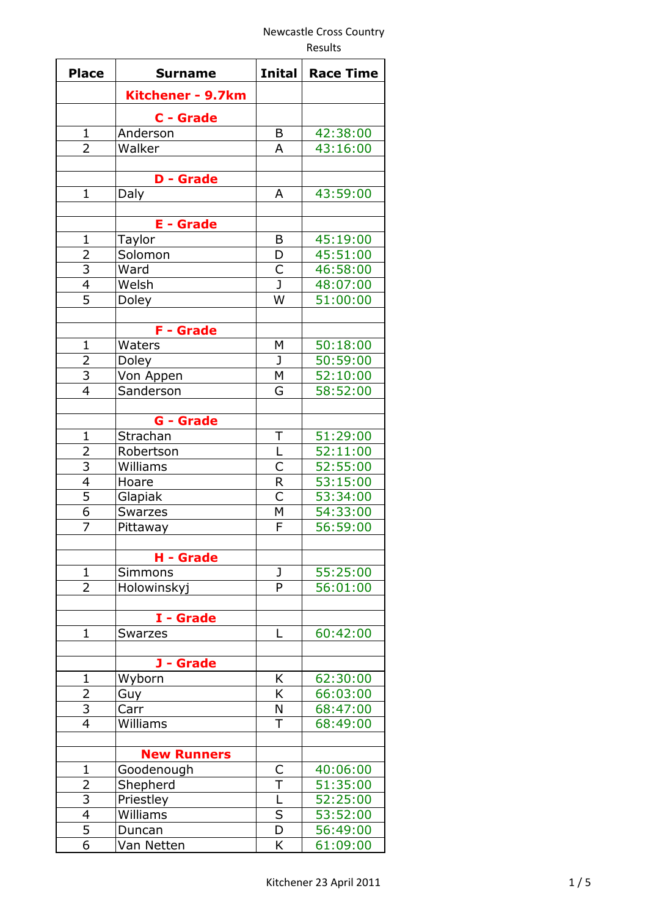| <b>Place</b>             | <b>Surname</b>     | <b>Inital</b>           | <b>Race Time</b> |
|--------------------------|--------------------|-------------------------|------------------|
|                          | Kitchener - 9.7km  |                         |                  |
|                          | C - Grade          |                         |                  |
| 1                        | Anderson           | B                       | 42:38:00         |
| $\overline{2}$           | Walker             | A                       | 43:16:00         |
|                          |                    |                         |                  |
|                          | <b>D</b> - Grade   |                         |                  |
| $\mathbf{1}$             | Daly               | A                       | 43:59:00         |
|                          | <b>E</b> - Grade   |                         |                  |
| $\mathbf 1$              | Taylor             | B                       | 45:19:00         |
| $\overline{2}$           | Solomon            | D                       | 45:51:00         |
| 3                        | Ward               | C                       | 46:58:00         |
| $\overline{4}$           | Welsh              | J                       | 48:07:00         |
| $\overline{5}$           | Doley              | W                       | 51:00:00         |
|                          |                    |                         |                  |
|                          | <b>F</b> - Grade   |                         |                  |
| $\mathbf{1}$             | Waters             | M                       | 50:18:00         |
| $\overline{2}$           | Doley              | J                       | 50:59:00         |
| 3                        | Von Appen          | М                       | 52:10:00         |
| $\overline{4}$           | Sanderson          | G                       | 58:52:00         |
|                          |                    |                         |                  |
|                          | G - Grade          |                         |                  |
| $\mathbf{1}$             | Strachan           | Τ                       | 51:29:00         |
| $\overline{2}$           | Robertson          | L                       | 52:11:00         |
| $\overline{3}$           | Williams           | C                       | 52:55:00         |
| $\overline{\mathcal{L}}$ | Hoare              | R                       | 53:15:00         |
| $\overline{5}$           | Glapiak            | $\overline{\mathsf{C}}$ | 53:34:00         |
| $\overline{6}$           | Swarzes            | M                       | 54:33:00         |
| 7                        | Pittaway           | F                       | 56:59:00         |
|                          |                    |                         |                  |
|                          | H - Grade          |                         |                  |
| $\mathbf{1}$             | <b>Simmons</b>     | J                       | 55:25:00         |
| 2                        | Holowinskyj        | P                       | 56:01:00         |
|                          | I - Grade          |                         |                  |
| $\mathbf{1}$             | <b>Swarzes</b>     | L                       | 60:42:00         |
|                          |                    |                         |                  |
|                          | J - Grade          |                         |                  |
| $\mathbf{1}$             | Wyborn             | K                       | 62:30:00         |
| 2                        | Guy                | K                       | 66:03:00         |
| $\overline{3}$           | Carr               | N                       | 68:47:00         |
| $\overline{4}$           | Williams           | T                       | 68:49:00         |
|                          |                    |                         |                  |
|                          | <b>New Runners</b> |                         |                  |
| $\mathbf 1$              | Goodenough         | С                       | 40:06:00         |
| $\overline{2}$           | Shepherd           | $\overline{\mathsf{T}}$ | 51:35:00         |
| $\overline{\mathbf{3}}$  | Priestley          | L                       | 52:25:00         |
| $\overline{4}$           | Williams           | $\overline{\mathsf{s}}$ | 53:52:00         |
| 5                        | Duncan             | D                       | 56:49:00         |
| $\overline{6}$           | Van Netten         | K                       | 61:09:00         |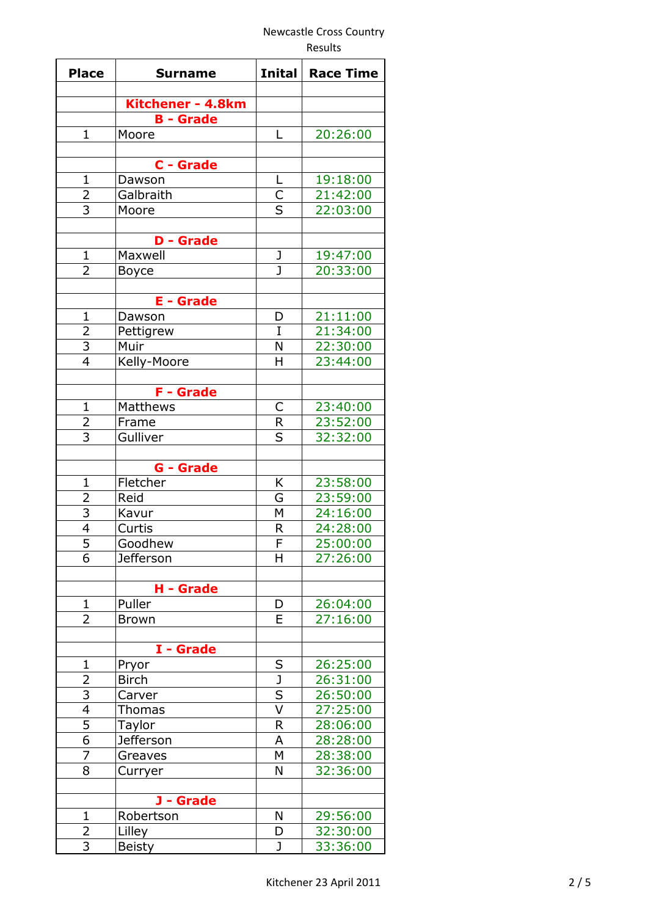| <b>Place</b>   | <b>Surname</b>                        | <b>Inital</b>           | <b>Race Time</b> |
|----------------|---------------------------------------|-------------------------|------------------|
|                |                                       |                         |                  |
|                | Kitchener - 4.8km<br><b>B</b> - Grade |                         |                  |
| $\mathbf{1}$   | Moore                                 | L                       | 20:26:00         |
|                |                                       |                         |                  |
|                | C - Grade                             |                         |                  |
| $\overline{1}$ | Dawson                                | L                       | 19:18:00         |
|                | Galbraith                             |                         | 21:42:00         |
| $rac{2}{3}$    | Moore                                 | $\frac{C}{S}$           | 22:03:00         |
|                |                                       |                         |                  |
|                | <b>Grade</b><br>D -                   |                         |                  |
| $\mathbf{1}$   | Maxwell                               | J                       | 19:47:00         |
| $\overline{2}$ | <b>Boyce</b>                          | J                       | 20:33:00         |
|                |                                       |                         |                  |
|                | <b>E</b> - Grade                      |                         |                  |
| $\mathbf{1}$   | Dawson                                | D                       | 21:11:00         |
|                | Pettigrew                             | I                       | 21:34:00         |
| $\frac{2}{3}$  | Muir                                  | N                       | 22:30:00         |
| $\overline{4}$ | Kelly-Moore                           | Н                       | 23:44:00         |
|                |                                       |                         |                  |
|                | <b>F</b> - Grade                      |                         |                  |
| $\mathbf 1$    | Matthews                              | С                       | 23:40:00         |
| $\overline{2}$ | Frame                                 | $\overline{R}$          | 23:52:00         |
| $\overline{3}$ | Gulliver                              | $\overline{\mathsf{s}}$ | 32:32:00         |
|                |                                       |                         |                  |
|                | G - Grade                             |                         |                  |
| 1              | Fletcher                              | K                       | 23:58:00         |
| $\overline{2}$ | Reid                                  | G                       | 23:59:00         |
| $\frac{3}{4}$  | Kavur                                 | M                       | 24:16:00         |
|                | Curtis                                | R                       | 24:28:00         |
| $\overline{5}$ | Goodhew                               | F                       | 25:00:00         |
| 6              | <b>Jefferson</b>                      | Η                       | 27:26:00         |
|                | H - Grade                             |                         |                  |
| $\overline{1}$ | Puller                                | D                       | 26:04:00         |
| 2              | <b>Brown</b>                          | E                       | 27:16:00         |
|                |                                       |                         |                  |
|                | I - Grade                             |                         |                  |
| $\mathbf 1$    | Pryor                                 | S                       | 26:25:00         |
| 2              | <b>Birch</b>                          | $\overline{\mathsf{J}}$ | 26:31:00         |
| $\overline{3}$ | Carver                                | $\overline{\mathsf{s}}$ | 26:50:00         |
| $\overline{4}$ | Thomas                                | $\overline{\mathsf{v}}$ | 27:25:00         |
| $\overline{5}$ | Taylor                                | R                       | 28:06:00         |
| $\overline{6}$ | Jefferson                             | A                       | 28:28:00         |
| 7              | Greaves                               | M                       | 28:38:00         |
| 8              | Curryer                               | N                       | 32:36:00         |
|                |                                       |                         |                  |
|                | J - Grade                             |                         |                  |
| $\mathbf{1}$   | Robertson                             | N                       | 29:56:00         |
| $\overline{2}$ | Lilley                                | D                       | 32:30:00         |
| $\overline{3}$ | <b>Beisty</b>                         | J                       | 33:36:00         |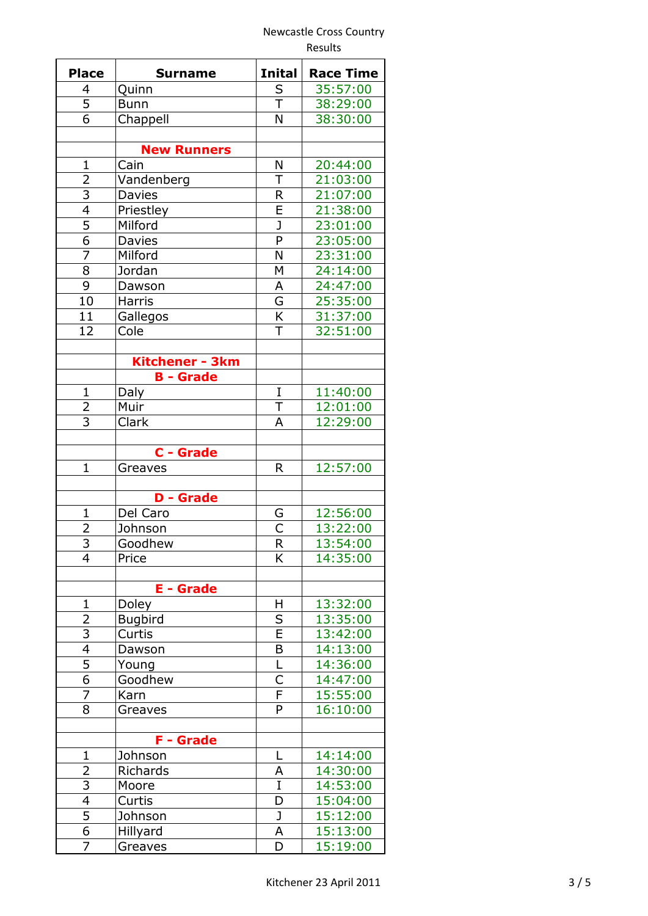|                         |                    | Results        |                  |
|-------------------------|--------------------|----------------|------------------|
| <b>Place</b>            | <b>Surname</b>     | <b>Inital</b>  | <b>Race Time</b> |
| 4                       | Quinn              | S              | 35:57:00         |
| $\overline{5}$          | <b>Bunn</b>        | $\top$         | 38:29:00         |
| 6                       | Chappell           | N              | 38:30:00         |
|                         | <b>New Runners</b> |                |                  |
| $\mathbf{1}$            | Cain               | N              | 20:44:00         |
| $\overline{2}$          | Vandenberg         | T              | 21:03:00         |
| $\overline{3}$          | <b>Davies</b>      | R              | 21:07:00         |
| $\overline{4}$          | Priestley          | E              | 21:38:00         |
| $\overline{5}$          | Milford            | J              | 23:01:00         |
| $\overline{6}$          | Davies             | P              | 23:05:00         |
| $\overline{7}$          | Milford            | N              | 23:31:00         |
| $\overline{8}$          | Jordan             | M              | 24:14:00         |
| 9                       | Dawson             | A              | 24:47:00         |
| 10                      | Harris             | G              | 25:35:00         |
| 11                      | Gallegos           | K              | 31:37:00         |
| 12                      | Cole               | T              | 32:51:00         |
|                         |                    |                |                  |
|                         | Kitchener - 3km    |                |                  |
|                         | <b>B</b> - Grade   |                |                  |
| 1                       | Daly               | I              | 11:40:00         |
| $\overline{2}$          | Muir               | $\top$         | 12:01:00         |
| 3                       | Clark              | Α              | 12:29:00         |
|                         | C - Grade          |                |                  |
| $\mathbf{1}$            | Greaves            | R              | 12:57:00         |
|                         |                    |                |                  |
|                         | <b>D</b> - Grade   |                |                  |
| $\mathbf{1}$            | Del Caro           | G              | 12:56:00         |
| $\overline{2}$          | Johnson            | С              | 13:22:00         |
| 3                       | Goodhew            | R              | 13:54:00         |
| $\overline{4}$          | Price              | K              | 14:35:00         |
|                         | <b>E</b> - Grade   |                |                  |
| $\mathbf 1$             | Doley              | H              | 13:32:00         |
| $\overline{2}$          | <b>Bugbird</b>     | S              | 13:35:00         |
| 3                       | Curtis             | E              | 13:42:00         |
| $\overline{4}$          | Dawson             | $\overline{B}$ | 14:13:00         |
| 5                       | Young              | L              | 14:36:00         |
| 6                       | Goodhew            | C              | 14:47:00         |
| 7                       | Karn               | $\overline{F}$ | 15:55:00         |
| 8                       | Greaves            | P              | 16:10:00         |
|                         | <b>F</b> - Grade   |                |                  |
| $\mathbf 1$             | Johnson            | L              | 14:14:00         |
| 2                       | Richards           | A              | 14:30:00         |
| 3                       | Moore              | I              | 14:53:00         |
| $\overline{\mathbf{4}}$ | Curtis             | D              | 15:04:00         |
| 5                       | Johnson            | J              | 15:12:00         |
| 6                       | Hillyard           | А              | 15:13:00         |
| 7                       | Greaves            | D              | 15:19:00         |
|                         |                    |                |                  |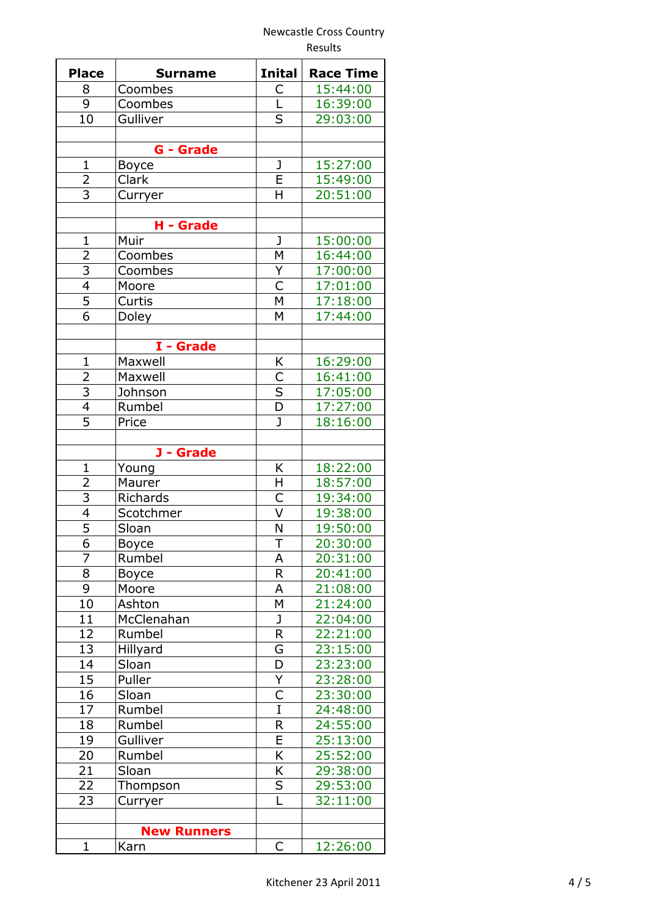|                         |                    |                         | Results          |  |
|-------------------------|--------------------|-------------------------|------------------|--|
| <b>Place</b>            | <b>Surname</b>     | <b>Inital</b>           | <b>Race Time</b> |  |
| 8                       | Coombes            | С                       | 15:44:00         |  |
| $\overline{9}$          | Coombes            | L                       | 16:39:00         |  |
| 10                      | Gulliver           | S                       | 29:03:00         |  |
|                         |                    |                         |                  |  |
| $\overline{1}$          | <b>G</b> - Grade   | J                       |                  |  |
|                         | <b>Boyce</b>       | E                       | 15:27:00         |  |
| $rac{2}{3}$             | Clark              | H                       | 15:49:00         |  |
|                         | Curryer            |                         | 20:51:00         |  |
|                         | H - Grade          |                         |                  |  |
| $\mathbf{1}$            | Muir               | J                       | 15:00:00         |  |
| $\overline{2}$          | Coombes            | M                       | 16:44:00         |  |
| $\overline{3}$          | Coombes            | Y                       | 17:00:00         |  |
| $\overline{\mathbf{4}}$ | Moore              | C                       | 17:01:00         |  |
| $\overline{5}$          | Curtis             | M                       | 17:18:00         |  |
| $\overline{6}$          | Doley              | M                       | 17:44:00         |  |
|                         |                    |                         |                  |  |
|                         | I - Grade          |                         |                  |  |
| $\mathbf{1}$            | Maxwell            | K                       | 16:29:00         |  |
| $\overline{2}$          | Maxwell            |                         | 16:41:00         |  |
|                         | Johnson            | $\frac{C}{D}$           | 17:05:00         |  |
| $\frac{3}{4}$           | Rumbel             |                         | 17:27:00         |  |
| $\overline{5}$          | Price              | J                       | 18:16:00         |  |
|                         |                    |                         |                  |  |
|                         | J - Grade          |                         |                  |  |
| $\mathbf 1$             | Young              | K                       | 18:22:00         |  |
| $\overline{2}$          | Maurer             | Η                       | 18:57:00         |  |
| $\frac{3}{4}$           | Richards           | C                       | 19:34:00         |  |
|                         | Scotchmer          | $\overline{\mathsf{v}}$ | 19:38:00         |  |
| $\overline{5}$          | Sloan              | N                       | 19:50:00         |  |
| 6                       | <b>Boyce</b>       | T                       | 20:30:00         |  |
| 7                       | Rumbel             | Α                       | 20:31:00         |  |
| 8                       | Boyce              | R                       | 20:41:00         |  |
| 9                       | Moore              | А                       | 21:08:00         |  |
| 10                      | Ashton             | Μ                       | 21:24:00         |  |
| 11                      | McClenahan         | J                       | 22:04:00         |  |
| 12                      | Rumbel             | R                       | 22:21:00         |  |
| 13                      | Hillyard           | G                       | 23:15:00         |  |
| 14                      | Sloan              | D                       | 23:23:00         |  |
| 15                      | Puller             | Y                       | 23:28:00         |  |
| 16                      | Sloan              | C                       | 23:30:00         |  |
| 17                      | Rumbel             | I                       | 24:48:00         |  |
| 18                      | Rumbel             | R                       | 24:55:00         |  |
| 19                      | Gulliver           | E                       | 25:13:00         |  |
| 20                      | Rumbel             | K                       | 25:52:00         |  |
| 21                      | Sloan              | K                       | 29:38:00         |  |
| 22                      | Thompson           | S                       | 29:53:00         |  |
| 23                      | Curryer            | L                       | 32:11:00         |  |
|                         |                    |                         |                  |  |
|                         | <b>New Runners</b> |                         |                  |  |
| $\mathbf 1$             | Karn               | С                       | 12:26:00         |  |